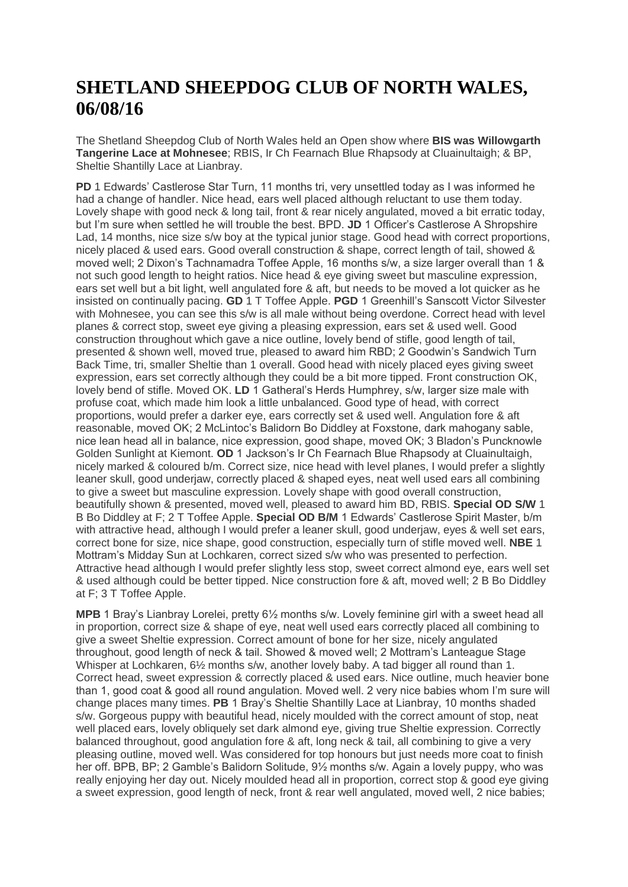## **SHETLAND SHEEPDOG CLUB OF NORTH WALES, 06/08/16**

The Shetland Sheepdog Club of North Wales held an Open show where **BIS was Willowgarth Tangerine Lace at Mohnesee**; RBIS, Ir Ch Fearnach Blue Rhapsody at Cluainultaigh; & BP, Sheltie Shantilly Lace at Lianbray.

**PD** 1 Edwards' Castlerose Star Turn, 11 months tri, very unsettled today as I was informed he had a change of handler. Nice head, ears well placed although reluctant to use them today. Lovely shape with good neck & long tail, front & rear nicely angulated, moved a bit erratic today, but I'm sure when settled he will trouble the best. BPD. **JD** 1 Officer's Castlerose A Shropshire Lad, 14 months, nice size s/w boy at the typical junior stage. Good head with correct proportions, nicely placed & used ears. Good overall construction & shape, correct length of tail, showed & moved well; 2 Dixon's Tachnamadra Toffee Apple, 16 months s/w, a size larger overall than 1 & not such good length to height ratios. Nice head & eye giving sweet but masculine expression, ears set well but a bit light, well angulated fore & aft, but needs to be moved a lot quicker as he insisted on continually pacing. **GD** 1 T Toffee Apple. **PGD** 1 Greenhill's Sanscott Victor Silvester with Mohnesee, you can see this s/w is all male without being overdone. Correct head with level planes & correct stop, sweet eye giving a pleasing expression, ears set & used well. Good construction throughout which gave a nice outline, lovely bend of stifle, good length of tail, presented & shown well, moved true, pleased to award him RBD; 2 Goodwin's Sandwich Turn Back Time, tri, smaller Sheltie than 1 overall. Good head with nicely placed eyes giving sweet expression, ears set correctly although they could be a bit more tipped. Front construction OK, lovely bend of stifle. Moved OK. **LD** 1 Gatheral's Herds Humphrey, s/w, larger size male with profuse coat, which made him look a little unbalanced. Good type of head, with correct proportions, would prefer a darker eye, ears correctly set & used well. Angulation fore & aft reasonable, moved OK; 2 McLintoc's Balidorn Bo Diddley at Foxstone, dark mahogany sable, nice lean head all in balance, nice expression, good shape, moved OK; 3 Bladon's Puncknowle Golden Sunlight at Kiemont. **OD** 1 Jackson's Ir Ch Fearnach Blue Rhapsody at Cluainultaigh, nicely marked & coloured b/m. Correct size, nice head with level planes, I would prefer a slightly leaner skull, good underjaw, correctly placed & shaped eyes, neat well used ears all combining to give a sweet but masculine expression. Lovely shape with good overall construction, beautifully shown & presented, moved well, pleased to award him BD, RBIS. **Special OD S/W** 1 B Bo Diddley at F; 2 T Toffee Apple. **Special OD B/M** 1 Edwards' Castlerose Spirit Master, b/m with attractive head, although I would prefer a leaner skull, good underjaw, eyes & well set ears, correct bone for size, nice shape, good construction, especially turn of stifle moved well. **NBE** 1 Mottram's Midday Sun at Lochkaren, correct sized s/w who was presented to perfection. Attractive head although I would prefer slightly less stop, sweet correct almond eye, ears well set & used although could be better tipped. Nice construction fore & aft, moved well; 2 B Bo Diddley at F; 3 T Toffee Apple.

**MPB** 1 Bray's Lianbray Lorelei, pretty 6½ months s/w. Lovely feminine girl with a sweet head all in proportion, correct size & shape of eye, neat well used ears correctly placed all combining to give a sweet Sheltie expression. Correct amount of bone for her size, nicely angulated throughout, good length of neck & tail. Showed & moved well; 2 Mottram's Lanteague Stage Whisper at Lochkaren,  $6\frac{1}{2}$  months s/w, another lovely baby. A tad bigger all round than 1. Correct head, sweet expression & correctly placed & used ears. Nice outline, much heavier bone than 1, good coat & good all round angulation. Moved well. 2 very nice babies whom I'm sure will change places many times. **PB** 1 Bray's Sheltie Shantilly Lace at Lianbray, 10 months shaded s/w. Gorgeous puppy with beautiful head, nicely moulded with the correct amount of stop, neat well placed ears, lovely obliquely set dark almond eye, giving true Sheltie expression. Correctly balanced throughout, good angulation fore & aft, long neck & tail, all combining to give a very pleasing outline, moved well. Was considered for top honours but just needs more coat to finish her off. BPB, BP; 2 Gamble's Balidorn Solitude, 9½ months s/w. Again a lovely puppy, who was really enjoying her day out. Nicely moulded head all in proportion, correct stop & good eye giving a sweet expression, good length of neck, front & rear well angulated, moved well, 2 nice babies;